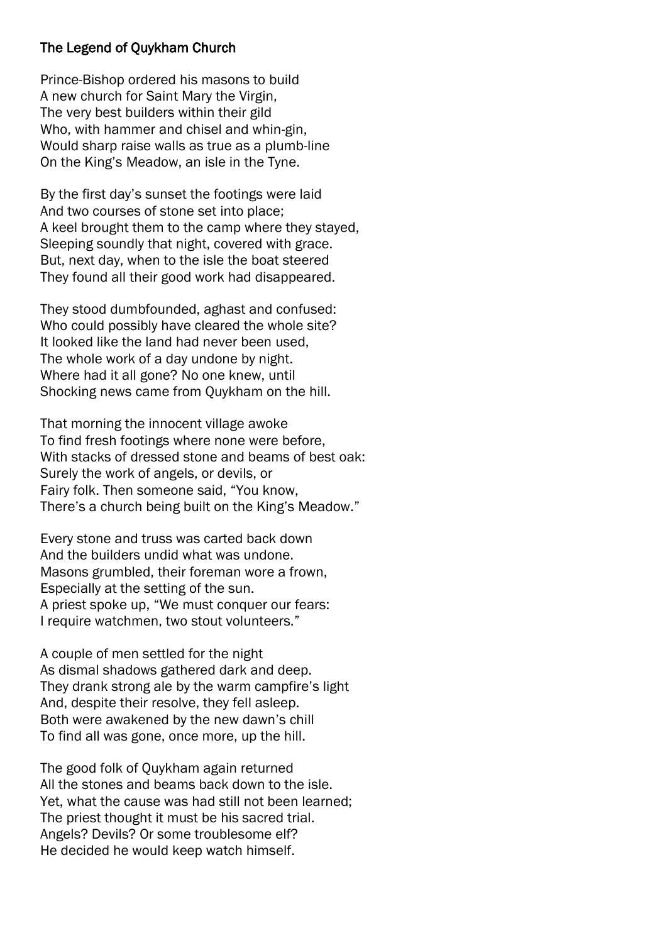## The Legend of Quykham Church

Prince-Bishop ordered his masons to build A new church for Saint Mary the Virgin, The very best builders within their gild Who, with hammer and chisel and whin-gin, Would sharp raise walls as true as a plumb-line On the King's Meadow, an isle in the Tyne.

By the first day's sunset the footings were laid And two courses of stone set into place; A keel brought them to the camp where they stayed, Sleeping soundly that night, covered with grace. But, next day, when to the isle the boat steered They found all their good work had disappeared.

They stood dumbfounded, aghast and confused: Who could possibly have cleared the whole site? It looked like the land had never been used, The whole work of a day undone by night. Where had it all gone? No one knew, until Shocking news came from Quykham on the hill.

That morning the innocent village awoke To find fresh footings where none were before, With stacks of dressed stone and beams of best oak: Surely the work of angels, or devils, or Fairy folk. Then someone said, "You know, There's a church being built on the King's Meadow."

Every stone and truss was carted back down And the builders undid what was undone. Masons grumbled, their foreman wore a frown, Especially at the setting of the sun. A priest spoke up, "We must conquer our fears: I require watchmen, two stout volunteers."

A couple of men settled for the night As dismal shadows gathered dark and deep. They drank strong ale by the warm campfire's light And, despite their resolve, they fell asleep. Both were awakened by the new dawn's chill To find all was gone, once more, up the hill.

The good folk of Quykham again returned All the stones and beams back down to the isle. Yet, what the cause was had still not been learned; The priest thought it must be his sacred trial. Angels? Devils? Or some troublesome elf? He decided he would keep watch himself.